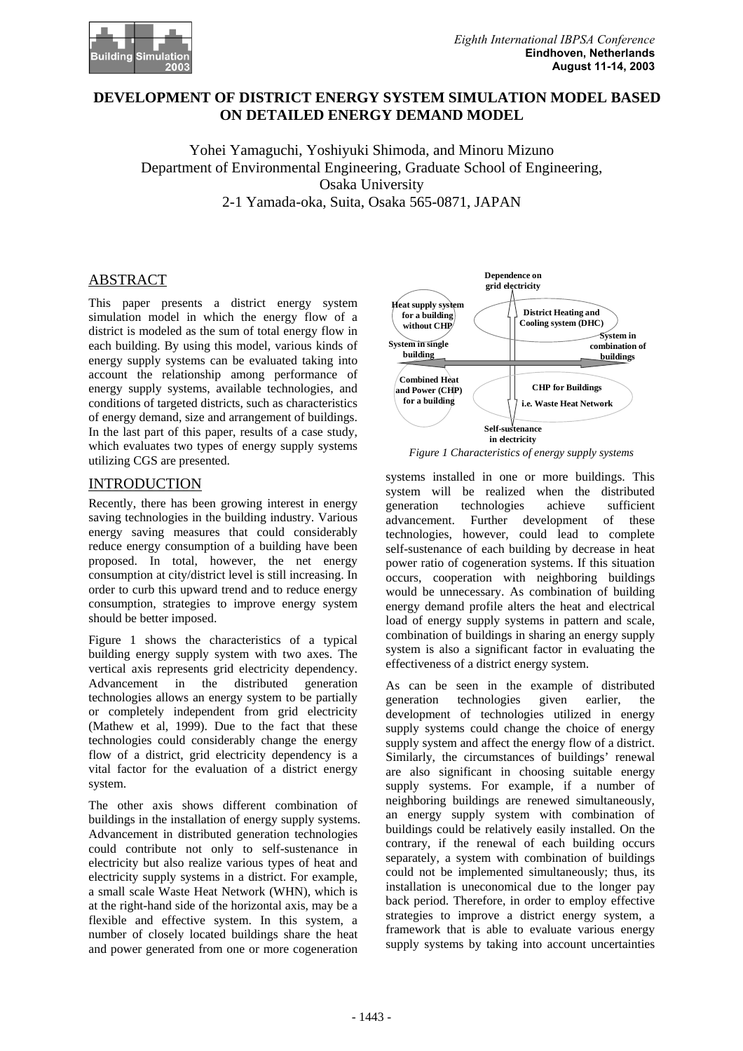

# **DEVELOPMENT OF DISTRICT ENERGY SYSTEM SIMULATION MODEL BASED ON DETAILED ENERGY DEMAND MODEL**

Yohei Yamaguchi, Yoshiyuki Shimoda, and Minoru Mizuno Department of Environmental Engineering, Graduate School of Engineering, Osaka University

2-1 Yamada-oka, Suita, Osaka 565-0871, JAPAN

This paper presents a district energy system simulation model in which the energy flow of a district is modeled as the sum of total energy flow in each building. By using this model, various kinds of energy supply systems can be evaluated taking into account the relationship among performance of energy supply systems, available technologies, and conditions of targeted districts, such as characteristics of energy demand, size and arrangement of buildings. In the last part of this paper, results of a case study, which evaluates two types of energy supply systems which evaluates two types of energy supply systems<br> *Figure 1 Characteristics of energy supply systems*<br> *Figure 1 Characteristics of energy supply systems* 

# INTRODUCTION

Recently, there has been growing interest in energy saving technologies in the building industry. Various energy saving measures that could considerably reduce energy consumption of a building have been proposed. In total, however, the net energy consumption at city/district level is still increasing. In order to curb this upward trend and to reduce energy consumption, strategies to improve energy system should be better imposed.

Figure 1 shows the characteristics of a typical building energy supply system with two axes. The vertical axis represents grid electricity dependency. Advancement in the distributed generation technologies allows an energy system to be partially or completely independent from grid electricity (Mathew et al, 1999). Due to the fact that these technologies could considerably change the energy flow of a district, grid electricity dependency is a vital factor for the evaluation of a district energy system.

The other axis shows different combination of buildings in the installation of energy supply systems. Advancement in distributed generation technologies could contribute not only to self-sustenance in electricity but also realize various types of heat and electricity supply systems in a district. For example, a small scale Waste Heat Network (WHN), which is at the right-hand side of the horizontal axis, may be a flexible and effective system. In this system, a number of closely located buildings share the heat and power generated from one or more cogeneration



systems installed in one or more buildings. This system will be realized when the distributed generation technologies achieve sufficient<br>advancement. Further development of these advancement. Further development of these technologies, however, could lead to complete self-sustenance of each building by decrease in heat power ratio of cogeneration systems. If this situation occurs, cooperation with neighboring buildings would be unnecessary. As combination of building energy demand profile alters the heat and electrical load of energy supply systems in pattern and scale, combination of buildings in sharing an energy supply system is also a significant factor in evaluating the effectiveness of a district energy system.

As can be seen in the example of distributed generation technologies given earlier, the development of technologies utilized in energy supply systems could change the choice of energy supply system and affect the energy flow of a district. Similarly, the circumstances of buildings' renewal are also significant in choosing suitable energy supply systems. For example, if a number of neighboring buildings are renewed simultaneously, an energy supply system with combination of buildings could be relatively easily installed. On the contrary, if the renewal of each building occurs separately, a system with combination of buildings could not be implemented simultaneously; thus, its installation is uneconomical due to the longer pay back period. Therefore, in order to employ effective strategies to improve a district energy system, a framework that is able to evaluate various energy supply systems by taking into account uncertainties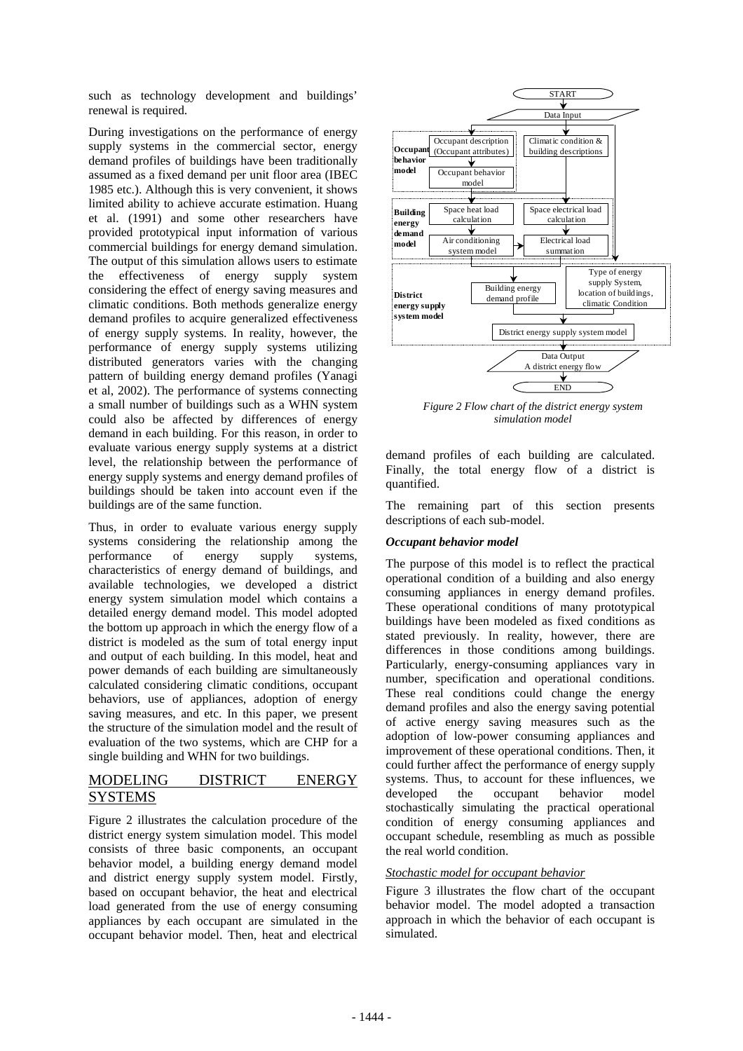such as technology development and buildings' renewal is required.

During investigations on the performance of energy supply systems in the commercial sector, energy demand profiles of buildings have been traditionally assumed as a fixed demand per unit floor area (IBEC 1985 etc.). Although this is very convenient, it shows limited ability to achieve accurate estimation. Huang et al. (1991) and some other researchers have provided prototypical input information of various commercial buildings for energy demand simulation. The output of this simulation allows users to estimate the effectiveness of energy supply system considering the effect of energy saving measures and climatic conditions. Both methods generalize energy demand profiles to acquire generalized effectiveness of energy supply systems. In reality, however, the performance of energy supply systems utilizing distributed generators varies with the changing pattern of building energy demand profiles (Yanagi et al, 2002). The performance of systems connecting a small number of buildings such as a WHN system could also be affected by differences of energy demand in each building. For this reason, in order to evaluate various energy supply systems at a district level, the relationship between the performance of energy supply systems and energy demand profiles of buildings should be taken into account even if the buildings are of the same function.

Thus, in order to evaluate various energy supply systems considering the relationship among the performance of energy supply systems, characteristics of energy demand of buildings, and available technologies, we developed a district energy system simulation model which contains a detailed energy demand model. This model adopted the bottom up approach in which the energy flow of a district is modeled as the sum of total energy input and output of each building. In this model, heat and power demands of each building are simultaneously calculated considering climatic conditions, occupant behaviors, use of appliances, adoption of energy saving measures, and etc. In this paper, we present the structure of the simulation model and the result of evaluation of the two systems, which are CHP for a single building and WHN for two buildings.

# MODELING DISTRICT ENERGY **SYSTEMS**

Figure 2 illustrates the calculation procedure of the district energy system simulation model. This model consists of three basic components, an occupant behavior model, a building energy demand model and district energy supply system model. Firstly, based on occupant behavior, the heat and electrical load generated from the use of energy consuming appliances by each occupant are simulated in the occupant behavior model. Then, heat and electrical



*Figure 2 Flow chart of the district energy system simulation model* 

demand profiles of each building are calculated. Finally, the total energy flow of a district is quantified.

The remaining part of this section presents descriptions of each sub-model.

# *Occupant behavior model*

The purpose of this model is to reflect the practical operational condition of a building and also energy consuming appliances in energy demand profiles. These operational conditions of many prototypical buildings have been modeled as fixed conditions as stated previously. In reality, however, there are differences in those conditions among buildings. Particularly, energy-consuming appliances vary in number, specification and operational conditions. These real conditions could change the energy demand profiles and also the energy saving potential of active energy saving measures such as the adoption of low-power consuming appliances and improvement of these operational conditions. Then, it could further affect the performance of energy supply systems. Thus, to account for these influences, we developed the occupant behavior model stochastically simulating the practical operational condition of energy consuming appliances and occupant schedule, resembling as much as possible the real world condition.

# *Stochastic model for occupant behavior*

Figure 3 illustrates the flow chart of the occupant behavior model. The model adopted a transaction approach in which the behavior of each occupant is simulated.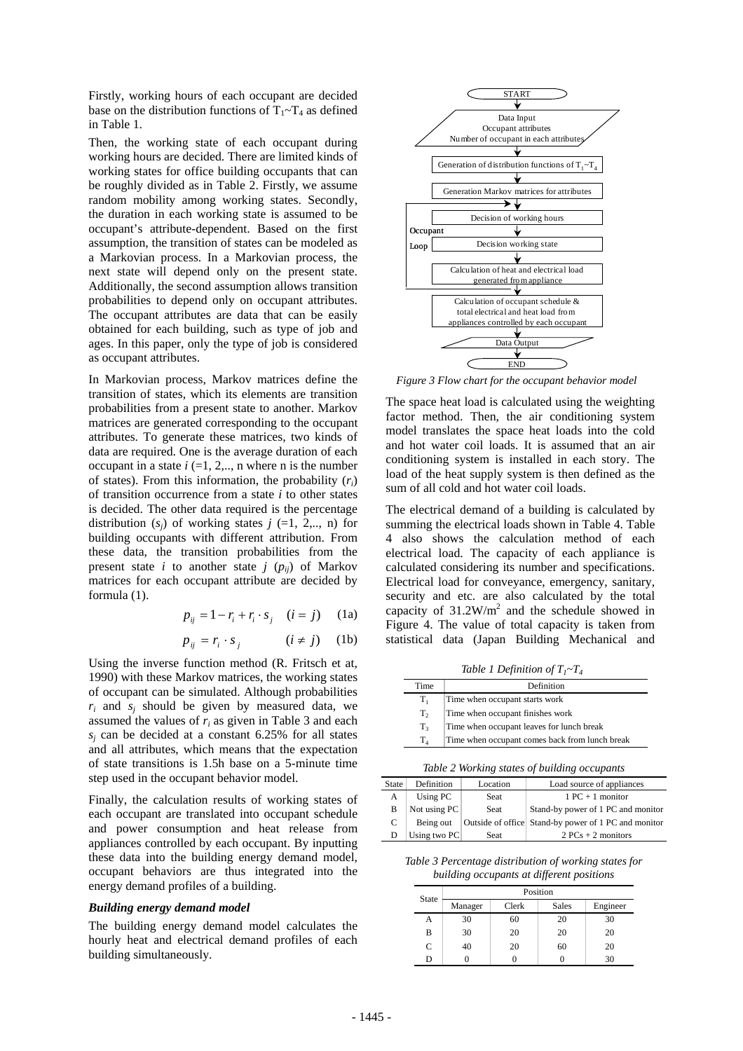Firstly, working hours of each occupant are decided base on the distribution functions of  $T_1 \sim T_4$  as defined Find the contract of the contract of the contract of the contract of the contract of the contract of the contract of the contract of the contract of the contract of the contract of the contract of the contract of the contr

Then, the working state of each occupant during working hours are decided. There are limited kinds of working states for office building occupants that can be roughly divided as in Table 2. Firstly, we assume random mobility among working states. Secondly, the duration in each working state is assumed to be occupant's attribute-dependent. Based on the first assumption, the transition of states can be modeled as a Markovian process. In a Markovian process, the next state will depend only on the present state. Additionally, the second assumption allows transition probabilities to depend only on occupant attributes. The occupant attributes are data that can be easily obtained for each building, such as type of job and ages. In this paper, only the type of job is considered as occupant attributes.

In Markovian process, Markov matrices define the transition of states, which its elements are transition probabilities from a present state to another. Markov matrices are generated corresponding to the occupant attributes. To generate these matrices, two kinds of data are required. One is the average duration of each occupant in a state  $i$  (=1, 2,.., n where n is the number of states). From this information, the probability (*ri*) of transition occurrence from a state *i* to other states is decided. The other data required is the percentage distribution  $(s_i)$  of working states  $j$  (=1, 2,.., n) for building occupants with different attribution. From these data, the transition probabilities from the present state *i* to another state *j* ( $p_{ij}$ ) of Markov matrices for each occupant attribute are decided by formula (1).

$$
p_{ij} = 1 - r_i + r_i \cdot s_j \quad (i = j) \quad (1a)
$$

$$
p_{ij} = r_i \cdot s_j \qquad (i \neq j) \quad (1b)
$$

Using the inverse function method (R. Fritsch et at, 1990) with these Markov matrices, the working states of occupant can be simulated. Although probabilities  $r_i$  and  $s_i$  should be given by measured data, we assumed the values of *ri* as given in Table 3 and each *sj* can be decided at a constant 6.25% for all states and all attributes, which means that the expectation of state transitions is 1.5h base on a 5-minute time step used in the occupant behavior model.

Finally, the calculation results of working states of each occupant are translated into occupant schedule and power consumption and heat release from appliances controlled by each occupant. By inputting these data into the building energy demand model, occupant behaviors are thus integrated into the energy demand profiles of a building.

### *Building energy demand model*

The building energy demand model calculates the hourly heat and electrical demand profiles of each building simultaneously.



*Figure 3 Flow chart for the occupant behavior model* 

The space heat load is calculated using the weighting factor method. Then, the air conditioning system model translates the space heat loads into the cold and hot water coil loads. It is assumed that an air conditioning system is installed in each story. The load of the heat supply system is then defined as the sum of all cold and hot water coil loads.

The electrical demand of a building is calculated by summing the electrical loads shown in Table 4. Table 4 also shows the calculation method of each electrical load. The capacity of each appliance is calculated considering its number and specifications. Electrical load for conveyance, emergency, sanitary, security and etc. are also calculated by the total capacity of  $31.2 \text{W/m}^2$  and the schedule showed in Figure 4. The value of total capacity is taken from statistical data (Japan Building Mechanical and

*Table 1 Definition of*  $T_1 \sim T_4$ 

| Time    | Definition                                     |
|---------|------------------------------------------------|
| $T_1$   | Time when occupant starts work                 |
| $T_{2}$ | Time when occupant finishes work               |
| $T_{3}$ | Time when occupant leaves for lunch break      |
| $T_{4}$ | Time when occupant comes back from lunch break |

*Table 2 Working states of building occupants* 

| <b>State</b> | Definition   | Location | Load source of appliances                            |
|--------------|--------------|----------|------------------------------------------------------|
| А            | Using PC     | Seat     | $1 PC + 1 monitor$                                   |
| B            | Not using PC | Seat     | Stand-by power of 1 PC and monitor                   |
| C            | Being out    |          | Outside of office Stand-by power of 1 PC and monitor |
|              | Using two PC | Seat     | $2 PCs + 2 monitors$                                 |
|              |              |          |                                                      |

*Table 3 Percentage distribution of working states for building occupants at different positions* 

| State         | Position |       |       |          |
|---------------|----------|-------|-------|----------|
|               | Manager  | Clerk | Sales | Engineer |
| A             | 30       | 60    | 20    | 30       |
| В             | 30       | 20    | 20    | 20       |
| $\mathcal{C}$ | 40       | 20    | 60    | 20       |
| D             |          |       |       | 30       |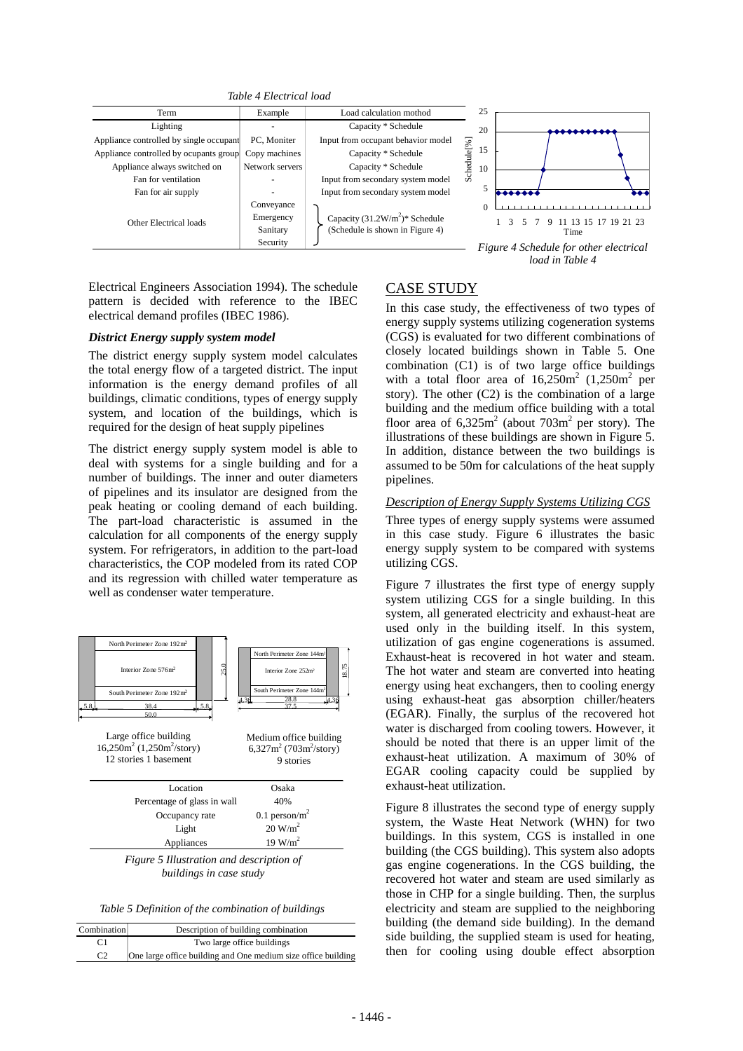*Table 4 Electrical load* 



Electrical Engineers Association 1994). The schedule CASE STUDY pattern is decided with reference to the IBEC electrical demand profiles (IBEC 1986). In this case study, the effectiveness of two types of electrical demand profiles (IBEC 1986).

#### *District Energy supply system model*

The district energy supply system model calculates the total energy flow of a targeted district. The input information is the energy demand profiles of all buildings, climatic conditions, types of energy supply system, and location of the buildings, which is required for the design of heat supply pipelines

The district energy supply system model is able to deal with systems for a single building and for a number of buildings. The inner and outer diameters of pipelines and its insulator are designed from the peak heating or cooling demand of each building. The part-load characteristic is assumed in the calculation for all components of the energy supply system. For refrigerators, in addition to the part-load characteristics, the COP modeled from its rated COP and its regression with chilled water temperature as well as condenser water temperature.



*buildings in case study* 

*Table 5 Definition of the combination of buildings*

| Combination | Description of building combination                           |  |
|-------------|---------------------------------------------------------------|--|
|             | Two large office buildings                                    |  |
| $\Gamma$    | One large office building and One medium size office building |  |

energy supply systems utilizing cogeneration systems (CGS) is evaluated for two different combinations of closely located buildings shown in Table 5. One combination (C1) is of two large office buildings with a total floor area of  $16,250m^2$  (1,250m<sup>2</sup> per story). The other  $(C2)$  is the combination of a large building and the medium office building with a total floor area of  $6,325m^2$  (about  $703m^2$  per story). The illustrations of these buildings are shown in Figure 5. In addition, distance between the two buildings is assumed to be 50m for calculations of the heat supply pipelines.

# *Description of Energy Supply Systems Utilizing CGS*

Three types of energy supply systems were assumed in this case study. Figure 6 illustrates the basic energy supply system to be compared with systems utilizing CGS.

Figure 7 illustrates the first type of energy supply system utilizing CGS for a single building. In this system, all generated electricity and exhaust-heat are used only in the building itself. In this system, utilization of gas engine cogenerations is assumed. Exhaust-heat is recovered in hot water and steam. The hot water and steam are converted into heating energy using heat exchangers, then to cooling energy using exhaust-heat gas absorption chiller/heaters (EGAR). Finally, the surplus of the recovered hot water is discharged from cooling towers. However, it should be noted that there is an upper limit of the exhaust-heat utilization. A maximum of 30% of EGAR cooling capacity could be supplied by exhaust-heat utilization.

Figure 8 illustrates the second type of energy supply system, the Waste Heat Network (WHN) for two buildings. In this system, CGS is installed in one building (the CGS building). This system also adopts gas engine cogenerations. In the CGS building, the recovered hot water and steam are used similarly as those in CHP for a single building. Then, the surplus electricity and steam are supplied to the neighboring building (the demand side building). In the demand side building, the supplied steam is used for heating, then for cooling using double effect absorption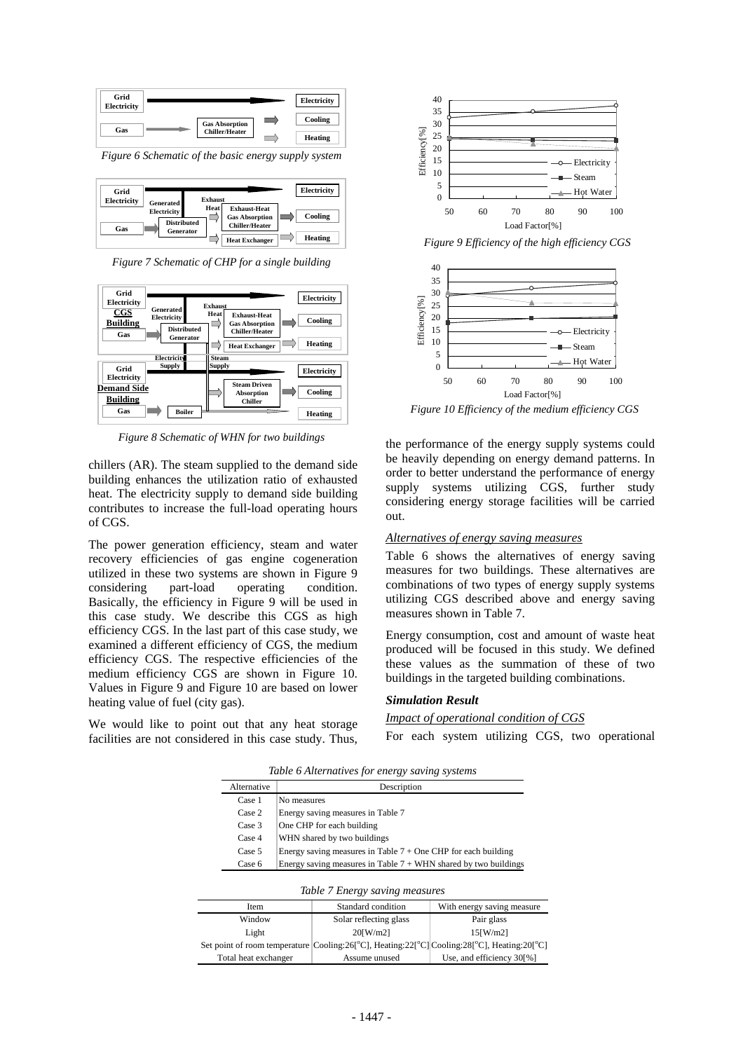

*Figure 6 Schematic of the basic energy supply system*

| Grid               |                                                              |                        |                                                                       | Electricity |
|--------------------|--------------------------------------------------------------|------------------------|-----------------------------------------------------------------------|-------------|
| Electricity<br>Gas | <b>Generated</b><br><b>Electricity</b><br><b>Distributed</b> | <b>Exhaust</b><br>Heat | <b>Exhaust-Heat</b><br><b>Gas Absorption</b><br><b>Chiller/Heater</b> | Cooling     |
|                    | Generator                                                    |                        | <b>Heat Exchanger</b>                                                 | Heating     |

*Figure 7 Schematic of CHP for a single building*



*Figure 8 Schematic of WHN for two buildings* 

chillers (AR). The steam supplied to the demand side building enhances the utilization ratio of exhausted heat. The electricity supply to demand side building contributes to increase the full-load operating hours of CGS.

The power generation efficiency, steam and water recovery efficiencies of gas engine cogeneration utilized in these two systems are shown in Figure 9 considering part-load operating condition. Basically, the efficiency in Figure 9 will be used in this case study. We describe this CGS as high efficiency CGS. In the last part of this case study, we examined a different efficiency of CGS, the medium efficiency CGS. The respective efficiencies of the medium efficiency CGS are shown in Figure 10. Values in Figure 9 and Figure 10 are based on lower heating value of fuel (city gas).

We would like to point out that any heat storage facilities are not considered in this case study. Thus,



*Figure 9 Efficiency of the high efficiency CGS* 



*Figure 10 Efficiency of the medium efficiency CGS* 

the performance of the energy supply systems could be heavily depending on energy demand patterns. In order to better understand the performance of energy supply systems utilizing CGS, further study considering energy storage facilities will be carried out.

#### *Alternatives of energy saving measures*

Table 6 shows the alternatives of energy saving measures for two buildings. These alternatives are combinations of two types of energy supply systems utilizing CGS described above and energy saving measures shown in Table 7.

Energy consumption, cost and amount of waste heat produced will be focused in this study. We defined these values as the summation of these of two buildings in the targeted building combinations.

#### *Simulation Result*

#### *Impact of operational condition of CGS*

For each system utilizing CGS, two operational

 *Table 6 Alternatives for energy saving systems* Alternative Description

| личнаи ус | Describuon                                                        |  |  |
|-----------|-------------------------------------------------------------------|--|--|
| Case 1    | No measures                                                       |  |  |
| Case 2    | Energy saving measures in Table 7                                 |  |  |
| Case 3    | One CHP for each building                                         |  |  |
| Case 4    | WHN shared by two buildings                                       |  |  |
| Case 5    | Energy saving measures in Table $7 +$ One CHP for each building   |  |  |
| Case 6    | Energy saving measures in Table $7 + WHN$ shared by two buildings |  |  |

| Table 7 Energy saving measures |                                                                                                                                                 |                            |  |
|--------------------------------|-------------------------------------------------------------------------------------------------------------------------------------------------|----------------------------|--|
| Item                           | Standard condition                                                                                                                              | With energy saving measure |  |
| Window                         | Solar reflecting glass                                                                                                                          | Pair glass                 |  |
| Light                          | $20$ [W/m2]                                                                                                                                     | $15$ [W/m2]                |  |
|                                | Set point of room temperature Cooling:26 <sup>[°</sup> C], Heating:22 <sup>[°</sup> C] Cooling:28 <sup>[°</sup> C], Heating:20 <sup>[°</sup> C] |                            |  |
| Total heat exchanger           | Assume unused                                                                                                                                   | Use, and efficiency 30[%]  |  |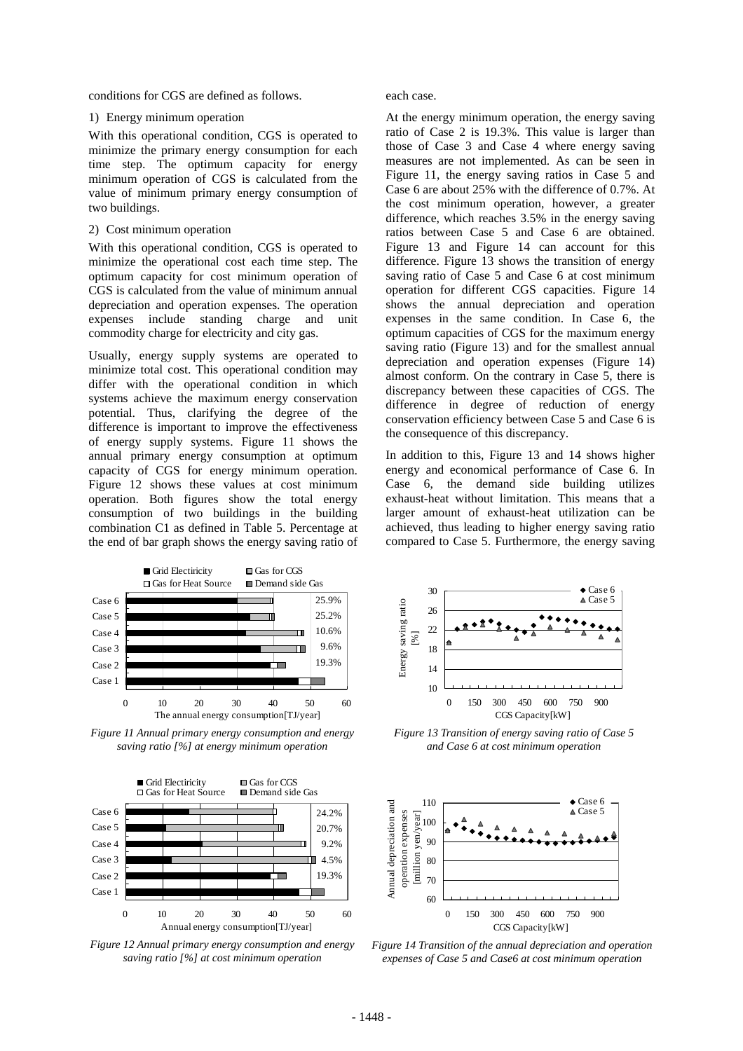conditions for CGS are defined as follows.

#### 1) Energy minimum operation

With this operational condition, CGS is operated to minimize the primary energy consumption for each time step. The optimum capacity for energy minimum operation of CGS is calculated from the value of minimum primary energy consumption of two buildings.

#### 2) Cost minimum operation

With this operational condition, CGS is operated to minimize the operational cost each time step. The optimum capacity for cost minimum operation of CGS is calculated from the value of minimum annual depreciation and operation expenses. The operation expenses include standing charge and unit commodity charge for electricity and city gas.

Usually, energy supply systems are operated to minimize total cost. This operational condition may differ with the operational condition in which systems achieve the maximum energy conservation potential. Thus, clarifying the degree of the difference is important to improve the effectiveness of energy supply systems. Figure 11 shows the annual primary energy consumption at optimum capacity of CGS for energy minimum operation. Figure 12 shows these values at cost minimum operation. Both figures show the total energy consumption of two buildings in the building combination C1 as defined in Table 5. Percentage at the end of bar graph shows the energy saving ratio of



*Figure 11 Annual primary energy consumption and energy saving ratio [%] at energy minimum operation* 



*Figure 12 Annual primary energy consumption and energy saving ratio [%] at cost minimum operation* 

each case.

At the energy minimum operation, the energy saving ratio of Case 2 is 19.3%. This value is larger than those of Case 3 and Case 4 where energy saving measures are not implemented. As can be seen in Figure 11, the energy saving ratios in Case 5 and Case 6 are about 25% with the difference of 0.7%. At the cost minimum operation, however, a greater difference, which reaches 3.5% in the energy saving ratios between Case 5 and Case 6 are obtained. Figure 13 and Figure 14 can account for this difference. Figure 13 shows the transition of energy saving ratio of Case 5 and Case 6 at cost minimum operation for different CGS capacities. Figure 14 shows the annual depreciation and operation expenses in the same condition. In Case 6, the optimum capacities of CGS for the maximum energy saving ratio (Figure 13) and for the smallest annual depreciation and operation expenses (Figure 14) almost conform. On the contrary in Case 5, there is discrepancy between these capacities of CGS. The difference in degree of reduction of energy conservation efficiency between Case 5 and Case 6 is the consequence of this discrepancy.

In addition to this, Figure 13 and 14 shows higher energy and economical performance of Case 6. In Case 6, the demand side building utilizes exhaust-heat without limitation. This means that a larger amount of exhaust-heat utilization can be achieved, thus leading to higher energy saving ratio compared to Case 5. Furthermore, the energy saving



*Figure 13 Transition of energy saving ratio of Case 5 and Case 6 at cost minimum operation* 



*Figure 14 Transition of the annual depreciation and operation expenses of Case 5 and Case6 at cost minimum operation*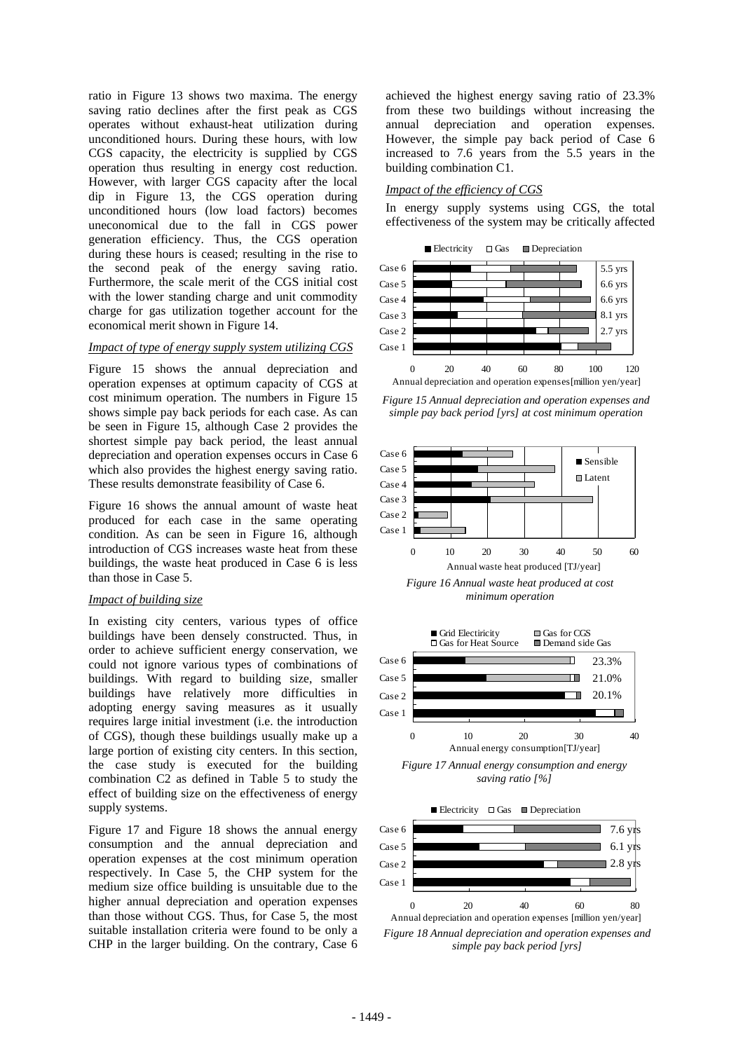ratio in Figure 13 shows two maxima. The energy saving ratio declines after the first peak as CGS operates without exhaust-heat utilization during unconditioned hours. During these hours, with low CGS capacity, the electricity is supplied by CGS operation thus resulting in energy cost reduction. However, with larger CGS capacity after the local dip in Figure 13, the CGS operation during unconditioned hours (low load factors) becomes uneconomical due to the fall in CGS power generation efficiency. Thus, the CGS operation during these hours is ceased; resulting in the rise to the second peak of the energy saving ratio. Furthermore, the scale merit of the CGS initial cost with the lower standing charge and unit commodity charge for gas utilization together account for the economical merit shown in Figure 14.

### *Impact of type of energy supply system utilizing CGS*

Figure 15 shows the annual depreciation and operation expenses at optimum capacity of CGS at cost minimum operation. The numbers in Figure 15 shows simple pay back periods for each case. As can be seen in Figure 15, although Case 2 provides the shortest simple pay back period, the least annual depreciation and operation expenses occurs in Case 6 which also provides the highest energy saving ratio. These results demonstrate feasibility of Case 6.

Figure 16 shows the annual amount of waste heat produced for each case in the same operating condition. As can be seen in Figure 16, although introduction of CGS increases waste heat from these buildings, the waste heat produced in Case 6 is less than those in Case 5.

## *Impact of building size*

In existing city centers, various types of office buildings have been densely constructed. Thus, in order to achieve sufficient energy conservation, we could not ignore various types of combinations of buildings. With regard to building size, smaller buildings have relatively more difficulties in adopting energy saving measures as it usually requires large initial investment (i.e. the introduction of CGS), though these buildings usually make up a large portion of existing city centers. In this section, the case study is executed for the building combination C2 as defined in Table 5 to study the effect of building size on the effectiveness of energy supply systems.

Figure 17 and Figure 18 shows the annual energy consumption and the annual depreciation and operation expenses at the cost minimum operation respectively. In Case 5, the CHP system for the medium size office building is unsuitable due to the higher annual depreciation and operation expenses than those without CGS. Thus, for Case 5, the most suitable installation criteria were found to be only a CHP in the larger building. On the contrary, Case 6

achieved the highest energy saving ratio of 23.3% from these two buildings without increasing the annual depreciation and operation expenses. However, the simple pay back period of Case 6 increased to 7.6 years from the 5.5 years in the building combination C1.

## *Impact of the efficiency of CGS*

In energy supply systems using CGS, the total effectiveness of the system may be critically affected



*Figure 15 Annual depreciation and operation expenses and simple pay back period [yrs] at cost minimum operation*



*minimum operation* 





*Figure 18 Annual depreciation and operation expenses and simple pay back period [yrs]*